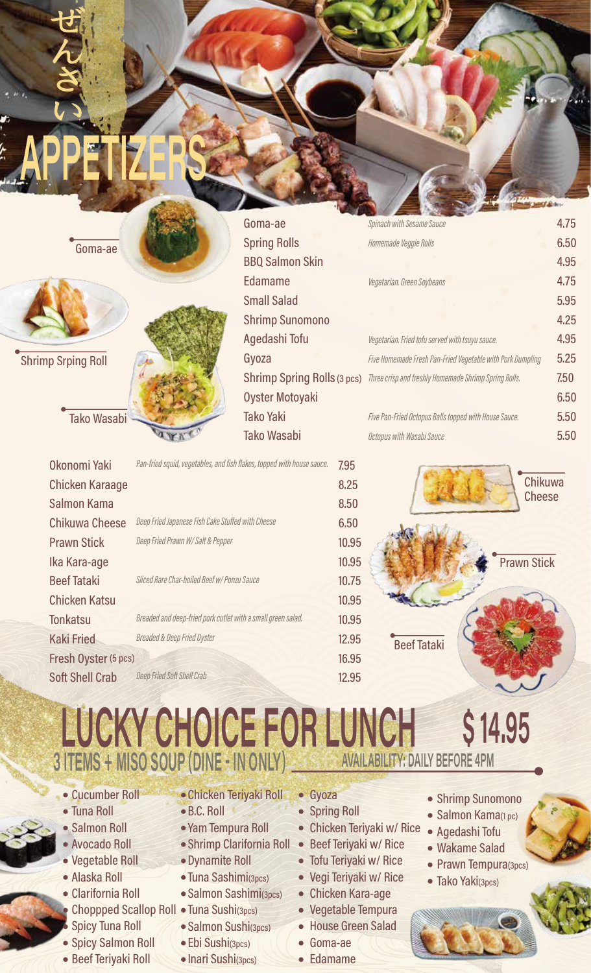Goma-ae 4.75 Sninach with Sesame Sauce 6.50 **Spring Rolls** Homemade Veggie Rolls Goma-ae **BBQ Salmon Skin** 4.95 Edamame 4.75 Vegetarian. Green Soybeans **Small Salad** 5.95 **Shrimp Sunomono** 4.25 Agedashi Tofu 4.95 Vegetarian. Fried tofu served with tsuyu sauce. Gyoza Five Homemade Fresh Pan-Fried Vegetable with Pork Dumpling 5.25 **Shrimp Srping Roll** 7.50 Shrimp Spring Rolls (3 pcs) Three crisp and freshly Homemade Shrimp Spring Rolls. **Oyster Motoyaki** 6.50 **Tako Yaki** 5.50 **Tako Wasabi** Five Pan-Fried Octopus Balls topped with House Sauce. **Tako Wasabi** 5.50 Octopus with Wasabi Sauce Okonomi Yaki Pan-fried squid, vegetables, and fish flakes, topped with house sauce. 7.95 Chikuwa **Chicken Karaage** 8.25 **Cheese** Salmon Kama 8.50 Chikuwa Cheese Deep Fried Japanese Fish Cake Stuffed with Cheese 6.50 Deep Fried Prawn W/ Salt & Pepper **Prawn Stick** 10.95 Ika Kara-age 10.95 **Prawn Stick Beef Tataki** Sliced Rare Char-boiled Beef w/ Ponzu Sauce 10.75 **Chicken Katsu** 10.95

**Tonkatsu** Breaded and deep-fried pork cutlet with a small green salad. **Kaki Fried Breaded & Deep Fried Oyster** Fresh Oyster (5 pcs)



Deep Fried Soft Shell Crab

# 10.95 12,95 **Beef Tataki** 16.95 12.95 LUCKY CHOICE FOR LUNCH



• Cucumber Roll

- Tuna Roll
- Salmon Roll
- · Avocado Roll
- · Vegetable Roll
- · Alaska Roll
- Clarifornia Roll Choppped Scallop Roll • Tuna Sushi(3pcs) **Spicy Tuna Roll**
- Spicy Salmon Roll
- Beef Teriyaki Roll
- Chicken Teriyaki Roll  $\bullet$  B.C. Roll
- · Yam Tempura Roll
- Shrimp Clarifornia Roll
- · Dynamite Roll
- 
- 
- 
- · Ebi Sushi(3pcs)
- Inari Sushi(3pcs)
- 
- 
- Tuna Sashimi(3pcs)
- Salmon Sashimi(3pcs)
- 
- · Salmon Sushi(3pcs)
- -
- Gyoza
- Spring Roll
- Chicken Teriyaki w/ Rice
- Beef Teriyaki w/ Rice
- Tofu Teriyaki w/ Rice • Vegi Teriyaki w/ Rice
- Chicken Kara-age
- Vegetable Tempura
- House Green Salad
- Goma-ae
- Edamame
- Shrimp Sunomono
- · Salmon Kama(1 pc)
- Agedashi Tofu
- Wakame Salad
- Prawn Tempura(3pcs)
- Tako Yaki(3pcs)

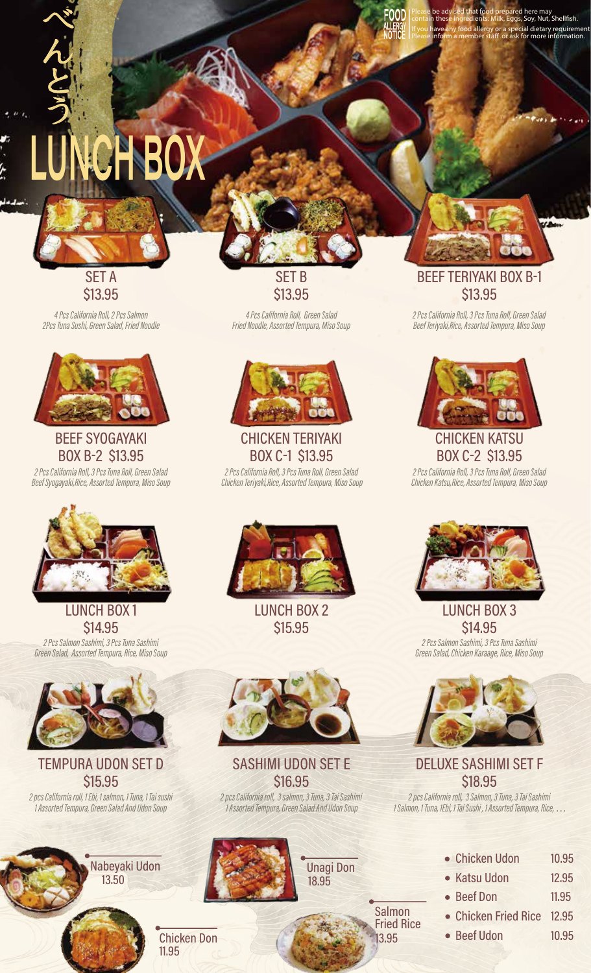# LUI<del>w</del>it Du  $\boldsymbol{\Lambda}$



と

う

4 Pcs California Roll, 2 Pcs Salmon 2Pcs Tuna Sushi, Green Salad, Fried Noodle



### **BEEF SYOGAYAKI** BOX B-2 \$13.95

2 Pcs California Roll, 3 Pcs Tuna Roll, Green Salad Beef Syogayaki,Rice, Assorted Tempura, Miso Soup



**LUNCH BOX1 \$14,95** 2 Pcs Salmon Sashimi, 3 Pcs Tuna Sashimi Green Salad, Assorted Tempura, Rice, Miso Soup



## TEMPURA UDON SET D **\$15,95**

2 pcs California roll, 1 Ebi, 1 salmon, 1 Tuna, 1 Tai sushi 1 Assorted Tempura, Green Salad And Udon Soup

> Nabeyaki Udon 13.50

SET B **\$13,95** 

**IF YOUR PLEASE BE advised that food prepared here may**<br>If you have any food allergy or a special dietary requirement<br>If you have any food allergy or a special dietary requirement<br>If Please inform a member staff or ask for

Please inform a member staff or ask for more information.

4 Pcs California Roll, Green Salad Fried Noodle, Assorted Tempura, Miso Soup



**CHICKEN TERIYAKI** BOX C-1 \$13.95 2 Pcs California Roll, 3 Pcs Tuna Roll, Green Salad

Chicken Teriyaki, Rice, Assorted Tempura, Miso Soup

LUNCH BOX 2 **\$15,95** 



SASHIMI UDON SET E **\$16,95** 

2 pcs California roll, 3 salmon, 3 Tuna, 3 Tai Sashimi 1 Assorted Tempura, Green Salad And Udon Soup





Please be advised that food prepared here may<br>contain these ingredients: Milk, Eggs, Soy, Nut, Shellfish.

**\$13,95** 

2 Pcs California Roll, 3 Pcs Tuna Roll, Green Salad Beef Teriyaki,Rice, Assorted Tempura, Miso Soup



CHICKEN KATSU BOX C-2 \$13.95

2 Pcs California Roll, 3 Pcs Tuna Roll, Green Salad Chicken Katsu, Rice, Assorted Tempura, Miso Soup



LUNCH BOX 3 **\$14,95** 2 Pcs Salmon Sashimi, 3 Pcs Tuna Sashimi Green Salad, Chicken Karaage, Rice, Miso Soup



DELUXE SASHIMI SET F **\$18,95** 

2 pcs California roll, 3 Salmon, 3 Tuna, 3 Tai Sashimi 1 Salmon, 1 Tuna, 1Ebi, 1 Tai Sushi, 1 Assorted Tempura, Rice, ...

| • Chicken Udon             | 10.95 |
|----------------------------|-------|
| • Katsu Udon               | 12.95 |
| • Beef Don                 | 11.95 |
| • Chicken Fried Rice 12.95 |       |
|                            |       |

10.95

**Beef Udon** 

Salmon **Fried Rice** 13.95

11.95

**Chicken Don**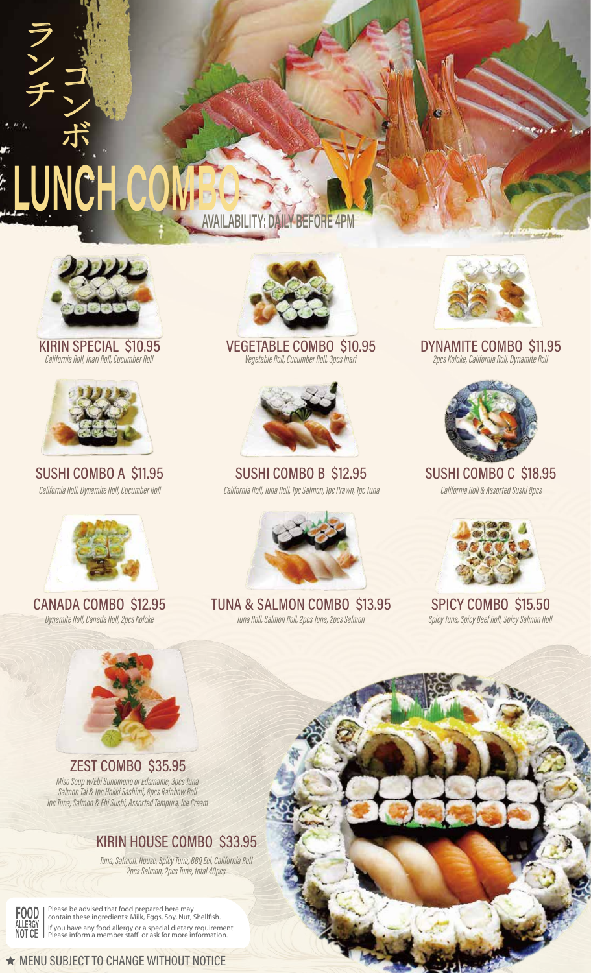



KIRIN SPECIAL \$10.95 California Roll, Inari Roll, Cucumber Roll



SUSHI COMBO A \$11.95 California Roll, Dynamite Roll, Cucumber Roll



**CANADA COMBO \$12.95** Dynamite Roll, Canada Roll, 2pcs Koloke



ZEST COMBO \$35.95 Miso Soup w/Ebi Sunomono or Edamame, 3pcs Tuna Salmon Tai & Tpc Hokki Sashimi, 8pcs Rainbow Roll<br>Salmon Tai & Tpc Hokki Sashimi, 8pcs Rainbow Roll<br>Tpc Tuna, Salmon & Ebi Sushi, Assorted Tempura, Ice Cream

### KIRIN HOUSE COMBO \$33.95

Tuna, Salmon, House, Spicy Tuna, BBQ Eel, California Roll<br>2pcs Salmon, 2pcs Tuna, total 40pcs



Please be advised that food prepared here may<br>contain these ingredients: Milk, Eggs, Soy, Nut, Shellfish. ALLERGY<br>NOTICE Please inform a member staff or ask for more information.



**VEGETABLE COMBO \$10.95** Vegetable Roll, Cucumber Roll, 3pcs Inari



SUSHI COMBO B \$12.95 California Roll, Tuna Roll, 1pc Salmon, 1pc Prawn, 1pc Tuna



TUNA & SALMON COMBO \$13.95 Tuna Roll, Salmon Roll, 2pcs Tuna, 2pcs Salmon



DYNAMITE COMBO \$11.95 2pcs Koloke, California Roll, Dynamite Roll



SUSHI COMBO C \$18.95 California Roll & Assorted Sushi 8pcs



**SPICY COMBO \$15.50** Spicy Tuna, Spicy Beef Roll, Spicy Salmon Roll

★ MENU SUBJECT TO CHANGE WITHOUT NOTICE